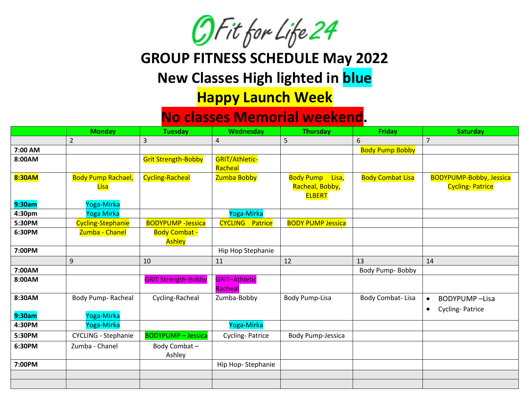

## **GROUP FITNESS SCHEDULE May 2022**

## **New Classes High lighted in blue**

## **Happy Launch Week**

## **No classes Memorial weekend.**

|                  | <b>Monday</b>                            | <b>Tuesday</b>                 | Wednesday                            | <b>Thursday</b>                                               | <b>Friday</b>           | <b>Saturday</b>                                          |
|------------------|------------------------------------------|--------------------------------|--------------------------------------|---------------------------------------------------------------|-------------------------|----------------------------------------------------------|
|                  | $\overline{2}$                           | 3                              | $\sqrt{4}$                           | 5                                                             | 6                       | $\overline{7}$                                           |
| 7:00 AM          |                                          |                                |                                      |                                                               | <b>Body Pump Bobby</b>  |                                                          |
| 8:00AM           |                                          | <b>Grit Strength-Bobby</b>     | <b>GRIT/Athletic-</b><br>Racheal     |                                                               |                         |                                                          |
| 8:30AM           | <b>Body Pump Rachael,</b><br><b>Lisa</b> | Cycling-Racheal                | Zumba Bobby                          | <b>Body Pump</b><br>Lisa,<br>Racheal, Bobby,<br><b>ELBERT</b> | <b>Body Combat Lisa</b> | <b>BODYPUMP-Bobby, Jessica</b><br><b>Cycling-Patrice</b> |
| 9:30am           | Yoga-Mirka                               |                                |                                      |                                                               |                         |                                                          |
| 4:30pm<br>5:30PM | Yoga Mirka                               | <b>BODYPUMP - Jessica</b>      | Yoga-Mirka<br><b>CYCLING Patrice</b> | <b>BODY PUMP Jessica</b>                                      |                         |                                                          |
|                  | <b>Cycling-Stephanie</b>                 |                                |                                      |                                                               |                         |                                                          |
| 6:30PM           | Zumba - Chanel                           | <b>Body Combat -</b><br>Ashley |                                      |                                                               |                         |                                                          |
| 7:00PM           |                                          |                                | Hip Hop Stephanie                    |                                                               |                         |                                                          |
|                  | 9                                        | 10                             | 11                                   | 12                                                            | 13                      | 14                                                       |
| 7:00AM           |                                          |                                |                                      |                                                               | Body Pump-Bobby         |                                                          |
| 8:00AM           |                                          | <b>GRIT Strength-Bobby</b>     | <b>GRIT-Athletic</b><br>Racheal      |                                                               |                         |                                                          |
| 8:30AM           | Body Pump-Racheal                        | Cycling-Racheal                | Zumba-Bobby                          | <b>Body Pump-Lisa</b>                                         | Body Combat-Lisa        | <b>BODYPUMP-Lisa</b><br>$\bullet$                        |
| 9:30am           | Yoga-Mirka                               |                                |                                      |                                                               |                         | Cycling-Patrice<br>$\bullet$                             |
| 4:30PM           | Yoga-Mirka                               |                                | Yoga-Mirka                           |                                                               |                         |                                                          |
| 5:30PM           | <b>CYCLING - Stephanie</b>               | <b>BODYPUMP - Jessica</b>      | <b>Cycling-Patrice</b>               | <b>Body Pump-Jessica</b>                                      |                         |                                                          |
| 6:30PM           | Zumba - Chanel                           | Body Combat-<br>Ashley         |                                      |                                                               |                         |                                                          |
| 7:00PM           |                                          |                                | Hip Hop-Stephanie                    |                                                               |                         |                                                          |
|                  |                                          |                                |                                      |                                                               |                         |                                                          |
|                  |                                          |                                |                                      |                                                               |                         |                                                          |